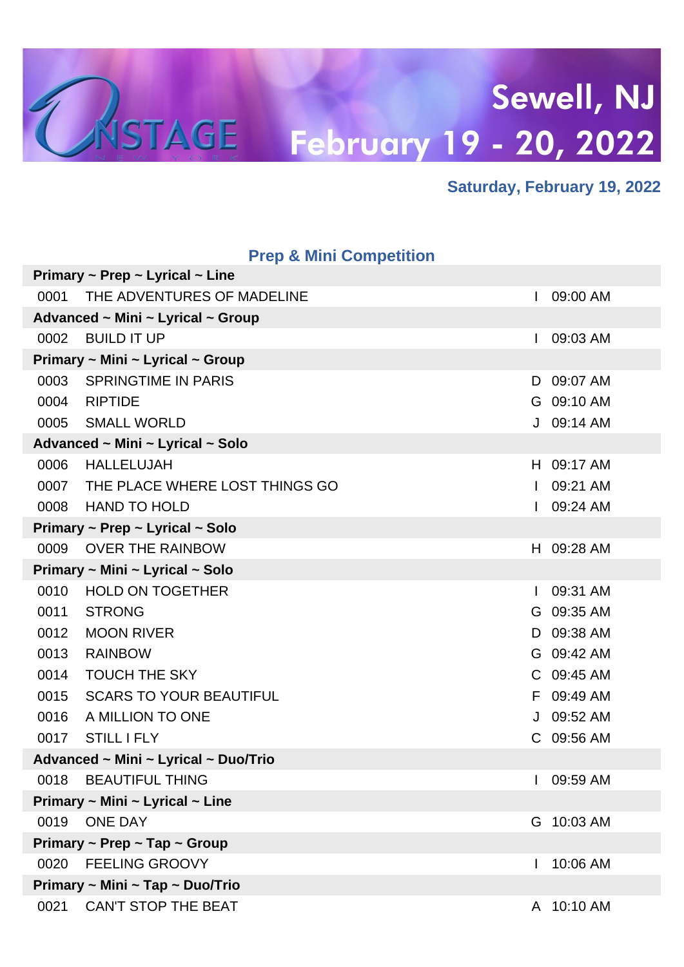

#### **Saturday, February 19, 2022**

|      | <b>Prep &amp; Mini Competition</b>             |              |            |
|------|------------------------------------------------|--------------|------------|
|      | Primary $\sim$ Prep $\sim$ Lyrical $\sim$ Line |              |            |
| 0001 | THE ADVENTURES OF MADELINE                     |              | 09:00 AM   |
|      | Advanced ~ Mini ~ Lyrical ~ Group              |              |            |
| 0002 | <b>BUILD IT UP</b>                             |              | 09:03 AM   |
|      | Primary ~ Mini ~ Lyrical ~ Group               |              |            |
| 0003 | <b>SPRINGTIME IN PARIS</b>                     | D            | 09:07 AM   |
| 0004 | <b>RIPTIDE</b>                                 |              | G 09:10 AM |
| 0005 | <b>SMALL WORLD</b>                             | J            | 09:14 AM   |
|      | Advanced ~ Mini ~ Lyrical ~ Solo               |              |            |
| 0006 | <b>HALLELUJAH</b>                              |              | H 09:17 AM |
| 0007 | THE PLACE WHERE LOST THINGS GO                 | $\mathbf{I}$ | 09:21 AM   |
| 0008 | <b>HAND TO HOLD</b>                            |              | 09:24 AM   |
|      | Primary ~ Prep ~ Lyrical ~ Solo                |              |            |
| 0009 | <b>OVER THE RAINBOW</b>                        |              | H 09:28 AM |
|      | Primary ~ Mini ~ Lyrical ~ Solo                |              |            |
| 0010 | <b>HOLD ON TOGETHER</b>                        |              | 09:31 AM   |
| 0011 | <b>STRONG</b>                                  |              | G 09:35 AM |
| 0012 | <b>MOON RIVER</b>                              | D            | 09:38 AM   |
| 0013 | <b>RAINBOW</b>                                 |              | G 09:42 AM |
| 0014 | <b>TOUCH THE SKY</b>                           |              | C 09:45 AM |
| 0015 | <b>SCARS TO YOUR BEAUTIFUL</b>                 | F.           | 09:49 AM   |
| 0016 | A MILLION TO ONE                               | J            | 09:52 AM   |
| 0017 | <b>STILL I FLY</b>                             |              | C 09:56 AM |
|      | Advanced ~ Mini ~ Lyrical ~ Duo/Trio           |              |            |
| 0018 | <b>BEAUTIFUL THING</b>                         |              | 09:59 AM   |
|      | Primary ~ Mini ~ Lyrical ~ Line                |              |            |
| 0019 | <b>ONE DAY</b>                                 |              | G 10:03 AM |
|      | Primary ~ Prep ~ Tap ~ Group                   |              |            |
| 0020 | <b>FEELING GROOVY</b>                          |              | 10:06 AM   |
|      | Primary ~ Mini ~ Tap ~ Duo/Trio                |              |            |
| 0021 | <b>CAN'T STOP THE BEAT</b>                     | A            | 10:10 AM   |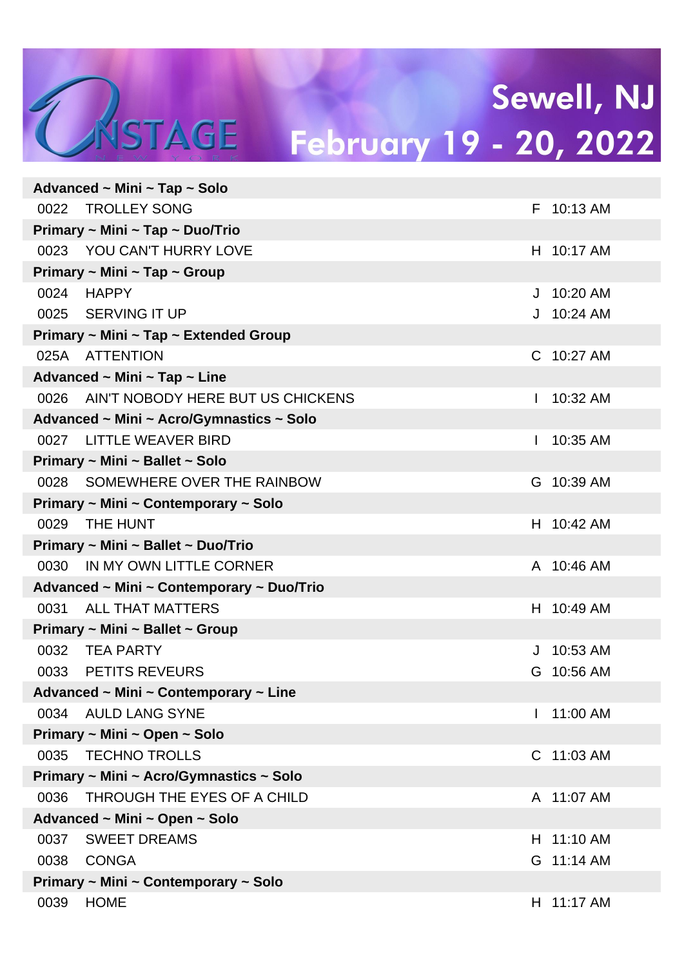|      | Advanced $\sim$ Mini $\sim$ Tap $\sim$ Solo |   |              |
|------|---------------------------------------------|---|--------------|
| 0022 | <b>TROLLEY SONG</b>                         |   | F 10:13 AM   |
|      | Primary ~ Mini ~ Tap ~ Duo/Trio             |   |              |
|      | 0023 YOU CAN'T HURRY LOVE                   |   | H 10:17 AM   |
|      | Primary ~ Mini ~ Tap ~ Group                |   |              |
| 0024 | HAPPY                                       |   | J 10:20 AM   |
|      | 0025 SERVING IT UP                          |   | $J$ 10:24 AM |
|      | Primary ~ Mini ~ Tap ~ Extended Group       |   |              |
|      | 025A ATTENTION                              |   | C 10:27 AM   |
|      | Advanced ~ Mini ~ Tap ~ Line                |   |              |
| 0026 | AIN'T NOBODY HERE BUT US CHICKENS           |   | 10:32 AM     |
|      | Advanced ~ Mini ~ Acro/Gymnastics ~ Solo    |   |              |
|      | 0027 LITTLE WEAVER BIRD                     |   | 10:35 AM     |
|      | Primary ~ Mini ~ Ballet ~ Solo              |   |              |
| 0028 | SOMEWHERE OVER THE RAINBOW                  |   | G 10:39 AM   |
|      | Primary ~ Mini ~ Contemporary ~ Solo        |   |              |
| 0029 | THE HUNT                                    |   | H 10:42 AM   |
|      | Primary ~ Mini ~ Ballet ~ Duo/Trio          |   |              |
| 0030 | IN MY OWN LITTLE CORNER                     |   | A 10:46 AM   |
|      | Advanced ~ Mini ~ Contemporary ~ Duo/Trio   |   |              |
| 0031 | <b>ALL THAT MATTERS</b>                     |   | H 10:49 AM   |
|      | Primary ~ Mini ~ Ballet ~ Group             |   |              |
|      | 0032 TEA PARTY                              |   | J 10:53 AM   |
| 0033 | <b>PETITS REVEURS</b>                       | G | 10:56 AM     |
|      | Advanced ~ Mini ~ Contemporary ~ Line       |   |              |
| 0034 | <b>AULD LANG SYNE</b>                       |   | 11:00 AM     |
|      | Primary ~ Mini ~ Open ~ Solo                |   |              |
| 0035 | <b>TECHNO TROLLS</b>                        |   | C 11:03 AM   |
|      | Primary ~ Mini ~ Acro/Gymnastics ~ Solo     |   |              |
| 0036 | THROUGH THE EYES OF A CHILD                 |   | A 11:07 AM   |
|      | Advanced ~ Mini ~ Open ~ Solo               |   |              |
| 0037 | <b>SWEET DREAMS</b>                         |   | H 11:10 AM   |
| 0038 | <b>CONGA</b>                                |   | G 11:14 AM   |
|      | Primary ~ Mini ~ Contemporary ~ Solo        |   |              |
| 0039 | <b>HOME</b>                                 |   | H 11:17 AM   |
|      |                                             |   |              |

MSTAGE

 $\sim$   $\sim$   $\sim$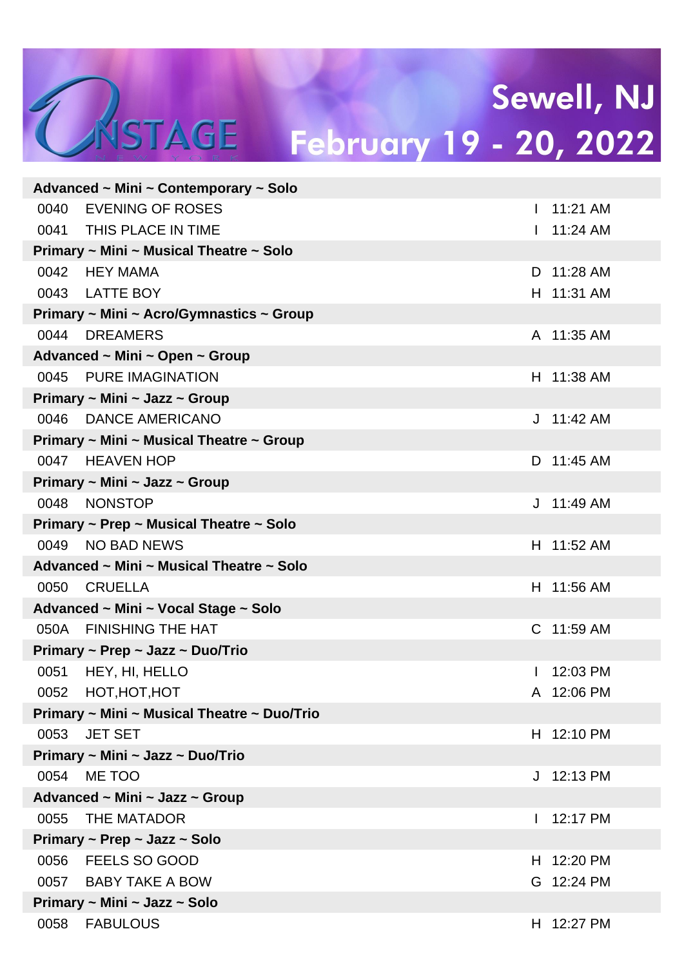|      | Advanced $\sim$ Mini $\sim$ Contemporary $\sim$ Solo |              |              |
|------|------------------------------------------------------|--------------|--------------|
| 0040 | <b>EVENING OF ROSES</b>                              | $\mathbf{L}$ | 11:21 AM     |
|      | 0041 THIS PLACE IN TIME                              |              | 1 11:24 AM   |
|      | Primary ~ Mini ~ Musical Theatre ~ Solo              |              |              |
| 0042 | HEY MAMA                                             |              | D 11:28 AM   |
|      | 0043 LATTE BOY                                       |              | H 11:31 AM   |
|      | Primary ~ Mini ~ Acro/Gymnastics ~ Group             |              |              |
| 0044 | <b>DREAMERS</b>                                      |              | A 11:35 AM   |
|      | Advanced ~ Mini ~ Open ~ Group                       |              |              |
| 0045 | <b>PURE IMAGINATION</b>                              |              | H 11:38 AM   |
|      | Primary ~ Mini ~ Jazz ~ Group                        |              |              |
| 0046 | DANCE AMERICANO                                      |              | $J$ 11:42 AM |
|      | Primary ~ Mini ~ Musical Theatre ~ Group             |              |              |
| 0047 | <b>HEAVEN HOP</b>                                    |              | D 11:45 AM   |
|      | Primary ~ Mini ~ Jazz ~ Group                        |              |              |
| 0048 | <b>NONSTOP</b>                                       |              | $J$ 11:49 AM |
|      | Primary ~ Prep ~ Musical Theatre ~ Solo              |              |              |
| 0049 | <b>NO BAD NEWS</b>                                   |              | H 11:52 AM   |
|      | Advanced ~ Mini ~ Musical Theatre ~ Solo             |              |              |
| 0050 | <b>CRUELLA</b>                                       |              | H 11:56 AM   |
|      | Advanced ~ Mini ~ Vocal Stage ~ Solo                 |              |              |
|      | 050A FINISHING THE HAT                               |              | C 11:59 AM   |
|      | Primary ~ Prep ~ Jazz ~ Duo/Trio                     |              |              |
| 0051 | HEY, HI, HELLO                                       |              | 12:03 PM     |
| 0052 | HOT, HOT, HOT                                        |              | A 12:06 PM   |
|      | Primary ~ Mini ~ Musical Theatre ~ Duo/Trio          |              |              |
| 0053 | <b>JET SET</b>                                       |              | H 12:10 PM   |
|      | Primary ~ Mini ~ Jazz ~ Duo/Trio                     |              |              |
| 0054 | ME TOO                                               |              | J 12:13 PM   |
|      | Advanced ~ Mini ~ Jazz ~ Group                       |              |              |
| 0055 | THE MATADOR                                          |              | 12:17 PM     |
|      | Primary ~ Prep ~ Jazz ~ Solo                         |              |              |
| 0056 | <b>FEELS SO GOOD</b>                                 | H.           | 12:20 PM     |
|      | 0057 BABY TAKE A BOW                                 | G.           | 12:24 PM     |
|      | Primary ~ Mini ~ Jazz ~ Solo                         |              |              |
| 0058 | <b>FABULOUS</b>                                      |              | H 12:27 PM   |

MSTAGE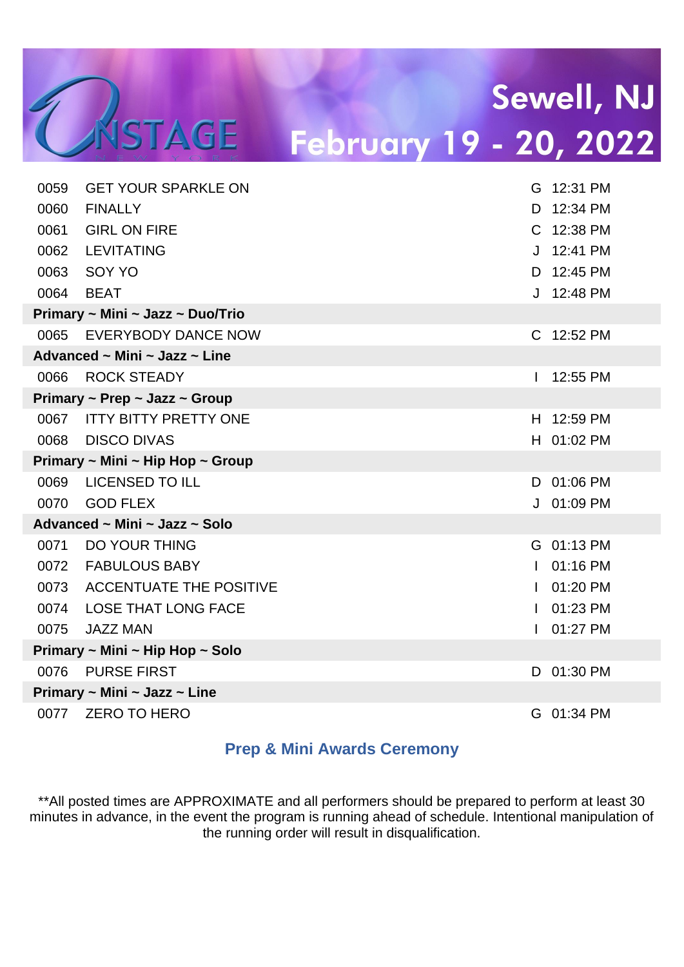| 0059 | <b>GET YOUR SPARKLE ON</b>                   |              | G 12:31 PM |
|------|----------------------------------------------|--------------|------------|
| 0060 | <b>FINALLY</b>                               | D.           | 12:34 PM   |
| 0061 | <b>GIRL ON FIRE</b>                          |              | C 12:38 PM |
| 0062 | <b>LEVITATING</b>                            |              | J 12:41 PM |
| 0063 | SOY YO                                       | D.           | 12:45 PM   |
| 0064 | <b>BEAT</b>                                  |              | J 12:48 PM |
|      | Primary ~ Mini ~ Jazz ~ Duo/Trio             |              |            |
| 0065 | <b>EVERYBODY DANCE NOW</b>                   |              | C 12:52 PM |
|      | Advanced $\sim$ Mini $\sim$ Jazz $\sim$ Line |              |            |
| 0066 | <b>ROCK STEADY</b>                           |              | 12:55 PM   |
|      | Primary ~ Prep ~ Jazz ~ Group                |              |            |
|      | 0067 ITTY BITTY PRETTY ONE                   |              | H 12:59 PM |
| 0068 | <b>DISCO DIVAS</b>                           |              | H 01:02 PM |
|      | Primary ~ Mini ~ Hip Hop ~ Group             |              |            |
| 0069 | <b>LICENSED TO ILL</b>                       |              | D 01:06 PM |
| 0070 | <b>GOD FLEX</b>                              |              | J 01:09 PM |
|      | Advanced ~ Mini ~ Jazz ~ Solo                |              |            |
| 0071 | <b>DO YOUR THING</b>                         |              | G 01:13 PM |
| 0072 | <b>FABULOUS BABY</b>                         |              | 01:16 PM   |
| 0073 | <b>ACCENTUATE THE POSITIVE</b>               | $\mathbf{L}$ | 01:20 PM   |
| 0074 | <b>LOSE THAT LONG FACE</b>                   |              | 01:23 PM   |
| 0075 | <b>JAZZ MAN</b>                              |              | 01:27 PM   |
|      | Primary ~ Mini ~ Hip Hop ~ Solo              |              |            |
| 0076 | <b>PURSE FIRST</b>                           |              | D 01:30 PM |
|      | Primary ~ Mini ~ Jazz ~ Line                 |              |            |
| 0077 | <b>ZERO TO HERO</b>                          |              | G 01:34 PM |

UNSTAGE

#### **Prep & Mini Awards Ceremony**

\*\*All posted times are APPROXIMATE and all performers should be prepared to perform at least 30 minutes in advance, in the event the program is running ahead of schedule. Intentional manipulation of the running order will result in disqualification.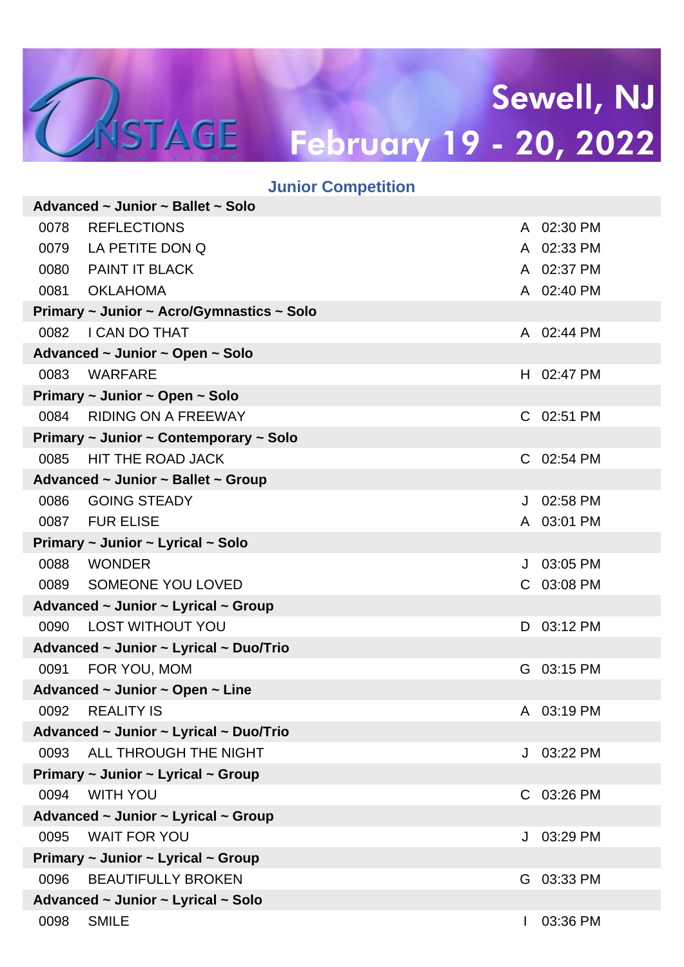|      | <b>Junior Competition</b>                 |    |            |
|------|-------------------------------------------|----|------------|
|      | Advanced ~ Junior ~ Ballet ~ Solo         |    |            |
| 0078 | <b>REFLECTIONS</b>                        |    | A 02:30 PM |
|      | 0079 LA PETITE DON Q                      |    | A 02:33 PM |
|      | 0080 PAINT IT BLACK                       |    | A 02:37 PM |
| 0081 | <b>OKLAHOMA</b>                           |    | A 02:40 PM |
|      | Primary ~ Junior ~ Acro/Gymnastics ~ Solo |    |            |
| 0082 | <b>I CAN DO THAT</b>                      |    | A 02:44 PM |
|      | Advanced ~ Junior ~ Open ~ Solo           |    |            |
| 0083 | <b>WARFARE</b>                            |    | H 02:47 PM |
|      | Primary ~ Junior ~ Open ~ Solo            |    |            |
| 0084 | <b>RIDING ON A FREEWAY</b>                |    | C 02:51 PM |
|      | Primary ~ Junior ~ Contemporary ~ Solo    |    |            |
| 0085 | <b>HIT THE ROAD JACK</b>                  |    | C 02:54 PM |
|      | Advanced ~ Junior ~ Ballet ~ Group        |    |            |
| 0086 | <b>GOING STEADY</b>                       | J  | 02:58 PM   |
|      | 0087 FUR ELISE                            |    | A 03:01 PM |
|      | Primary ~ Junior ~ Lyrical ~ Solo         |    |            |
| 0088 | <b>WONDER</b>                             | J  | 03:05 PM   |
| 0089 | SOMEONE YOU LOVED                         |    | C 03:08 PM |
|      | Advanced ~ Junior ~ Lyrical ~ Group       |    |            |
| 0090 | <b>LOST WITHOUT YOU</b>                   |    | D 03:12 PM |
|      | Advanced ~ Junior ~ Lyrical ~ Duo/Trio    |    |            |
| 0091 | FOR YOU, MOM                              |    | G 03:15 PM |
|      | Advanced ~ Junior ~ Open ~ Line           |    |            |
| 0092 | <b>REALITY IS</b>                         |    | A 03:19 PM |
|      | Advanced ~ Junior ~ Lyrical ~ Duo/Trio    |    |            |
| 0093 | ALL THROUGH THE NIGHT                     | J  | 03:22 PM   |
|      | Primary ~ Junior ~ Lyrical ~ Group        |    |            |
| 0094 | <b>WITH YOU</b>                           | C. | 03:26 PM   |
|      | Advanced ~ Junior ~ Lyrical ~ Group       |    |            |
| 0095 | <b>WAIT FOR YOU</b>                       | J  | 03:29 PM   |
|      | Primary ~ Junior ~ Lyrical ~ Group        |    |            |
| 0096 | <b>BEAUTIFULLY BROKEN</b>                 | G  | 03:33 PM   |
|      | Advanced ~ Junior ~ Lyrical ~ Solo        |    |            |
| 0098 | <b>SMILE</b>                              | L  | 03:36 PM   |

CASTAGE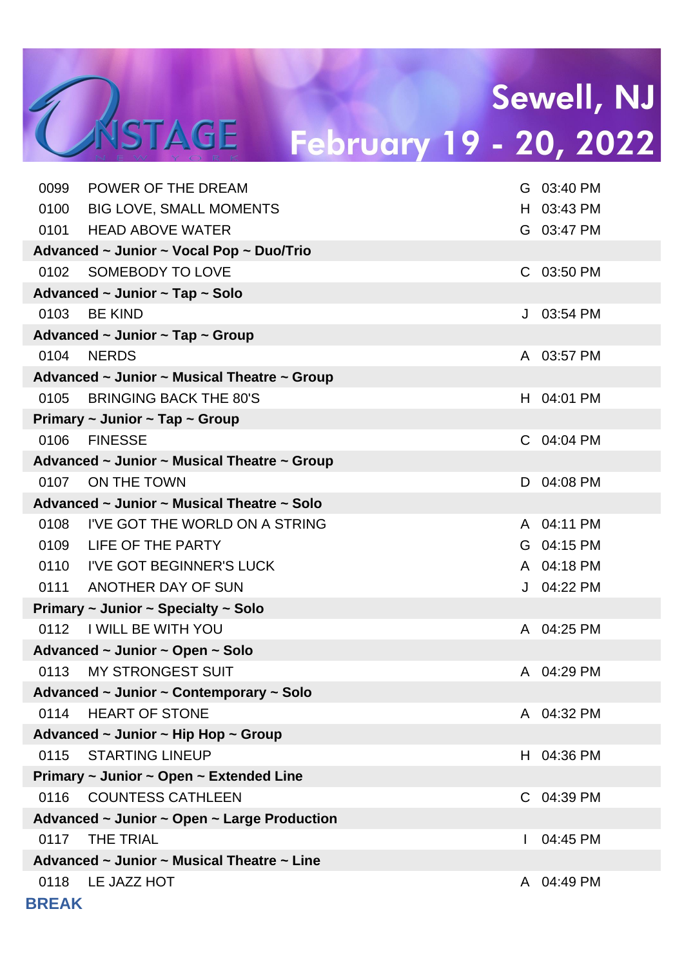# Sewell, NJ

# TASTAGE

# February 19 - 20, 2022

| 0099         | POWER OF THE DREAM                                     |   | G 03:40 PM |
|--------------|--------------------------------------------------------|---|------------|
|              | 0100 BIG LOVE, SMALL MOMENTS                           |   | H 03:43 PM |
|              | 0101 HEAD ABOVE WATER                                  |   | G 03:47 PM |
|              | Advanced ~ Junior ~ Vocal Pop ~ Duo/Trio               |   |            |
| 0102         | SOMEBODY TO LOVE                                       |   | C 03:50 PM |
|              | Advanced ~ Junior ~ Tap ~ Solo                         |   |            |
| 0103         | <b>BE KIND</b>                                         |   | J 03:54 PM |
|              | Advanced $\sim$ Junior $\sim$ Tap $\sim$ Group         |   |            |
| 0104         | <b>NERDS</b>                                           |   | A 03:57 PM |
|              | Advanced ~ Junior ~ Musical Theatre ~ Group            |   |            |
| 0105         | <b>BRINGING BACK THE 80'S</b>                          |   | H 04:01 PM |
|              | Primary ~ Junior ~ Tap ~ Group                         |   |            |
| 0106         | <b>FINESSE</b>                                         |   | C 04:04 PM |
|              | Advanced ~ Junior ~ Musical Theatre ~ Group            |   |            |
| 0107         | ON THE TOWN                                            |   | D 04:08 PM |
|              | Advanced ~ Junior ~ Musical Theatre ~ Solo             |   |            |
|              | 0108 I'VE GOT THE WORLD ON A STRING                    |   | A 04:11 PM |
|              | 0109 LIFE OF THE PARTY                                 |   | G 04:15 PM |
|              | 0110 I'VE GOT BEGINNER'S LUCK                          |   | A 04:18 PM |
|              | 0111 ANOTHER DAY OF SUN                                |   | J 04:22 PM |
|              | Primary $\sim$ Junior $\sim$ Specialty $\sim$ Solo     |   |            |
|              | 0112 I WILL BE WITH YOU                                |   | A 04:25 PM |
|              | Advanced ~ Junior ~ Open ~ Solo                        |   |            |
| 0113         | <b>MY STRONGEST SUIT</b>                               |   | A 04:29 PM |
|              | Advanced ~ Junior ~ Contemporary ~ Solo                |   |            |
| 0114         | <b>HEART OF STONE</b>                                  |   | A 04:32 PM |
|              | Advanced $\sim$ Junior $\sim$ Hip Hop $\sim$ Group     |   |            |
| 0115         | <b>STARTING LINEUP</b>                                 |   | H 04:36 PM |
|              | Primary $\sim$ Junior $\sim$ Open $\sim$ Extended Line |   |            |
| 0116         | <b>COUNTESS CATHLEEN</b>                               |   | C 04:39 PM |
|              | Advanced ~ Junior ~ Open ~ Large Production            |   |            |
| 0117         | <b>THE TRIAL</b>                                       |   | 04:45 PM   |
|              | Advanced ~ Junior ~ Musical Theatre ~ Line             |   |            |
|              | 0118 LE JAZZ HOT                                       | A | 04:49 PM   |
| <b>BREAK</b> |                                                        |   |            |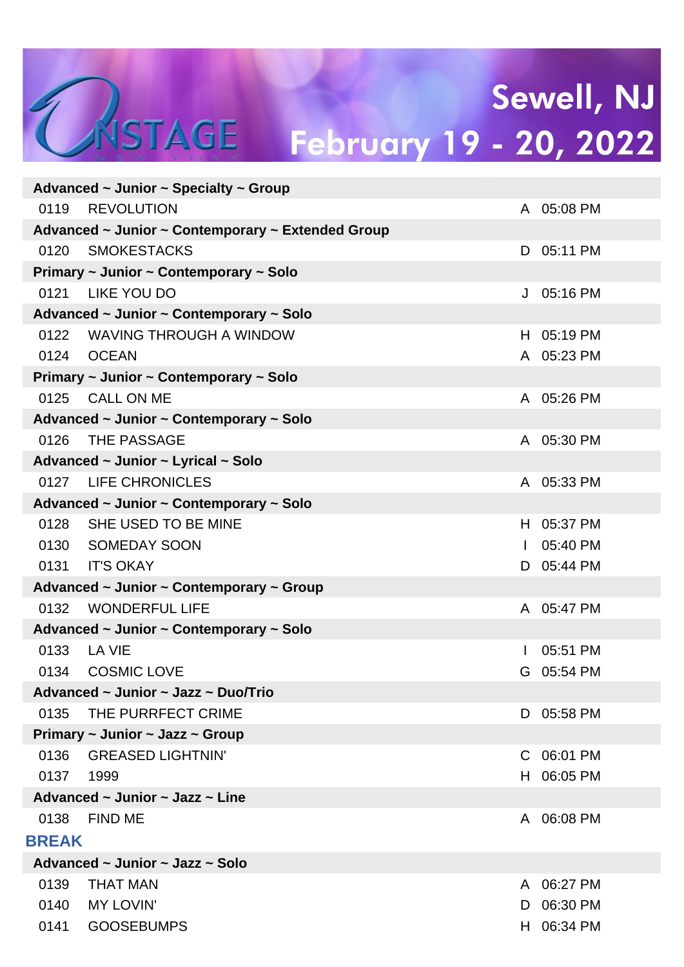## Sewell, NJ MSTAGE February 19 - 20, 2022

|              | Advanced ~ Junior ~ Specialty ~ Group             |              |            |
|--------------|---------------------------------------------------|--------------|------------|
| 0119         | <b>REVOLUTION</b>                                 |              | A 05:08 PM |
|              | Advanced ~ Junior ~ Contemporary ~ Extended Group |              |            |
| 0120         | <b>SMOKESTACKS</b>                                |              | D 05:11 PM |
|              | Primary ~ Junior ~ Contemporary ~ Solo            |              |            |
|              | 0121 LIKE YOU DO                                  |              | J 05:16 PM |
|              | Advanced ~ Junior ~ Contemporary ~ Solo           |              |            |
|              | 0122 WAVING THROUGH A WINDOW                      |              | H 05:19 PM |
|              | 0124 OCEAN                                        |              | A 05:23 PM |
|              | Primary ~ Junior ~ Contemporary ~ Solo            |              |            |
| 0125         | <b>CALL ON ME</b>                                 |              | A 05:26 PM |
|              | Advanced ~ Junior ~ Contemporary ~ Solo           |              |            |
| 0126         | THE PASSAGE                                       |              | A 05:30 PM |
|              | Advanced ~ Junior ~ Lyrical ~ Solo                |              |            |
|              | 0127 LIFE CHRONICLES                              |              | A 05:33 PM |
|              | Advanced ~ Junior ~ Contemporary ~ Solo           |              |            |
| 0128         | SHE USED TO BE MINE                               |              | H 05:37 PM |
|              | 0130 SOMEDAY SOON                                 | $\mathbf{L}$ | 05:40 PM   |
| 0131         | <b>IT'S OKAY</b>                                  |              | D 05:44 PM |
|              | Advanced ~ Junior ~ Contemporary ~ Group          |              |            |
| 0132         | <b>WONDERFUL LIFE</b>                             |              | A 05:47 PM |
|              | Advanced ~ Junior ~ Contemporary ~ Solo           |              |            |
| 0133         | LA VIE                                            |              | 05:51 PM   |
| 0134         | <b>COSMIC LOVE</b>                                | G            | 05:54 PM   |
|              | Advanced ~ Junior ~ Jazz ~ Duo/Trio               |              |            |
| 0135         | THE PURRFECT CRIME                                | D.           | 05:58 PM   |
|              | Primary ~ Junior ~ Jazz ~ Group                   |              |            |
| 0136         | <b>GREASED LIGHTNIN'</b>                          | C.           | 06:01 PM   |
| 0137         | 1999                                              | H.           | 06:05 PM   |
|              | Advanced $\sim$ Junior $\sim$ Jazz $\sim$ Line    |              |            |
| 0138         | <b>FIND ME</b>                                    | A            | 06:08 PM   |
| <b>BREAK</b> |                                                   |              |            |
|              | Advanced ~ Junior ~ Jazz ~ Solo                   |              |            |
| 0139         | <b>THAT MAN</b>                                   | A            | 06:27 PM   |
| 0140         | <b>MY LOVIN'</b>                                  | D            | 06:30 PM   |
| 0141         | <b>GOOSEBUMPS</b>                                 | H.           | 06:34 PM   |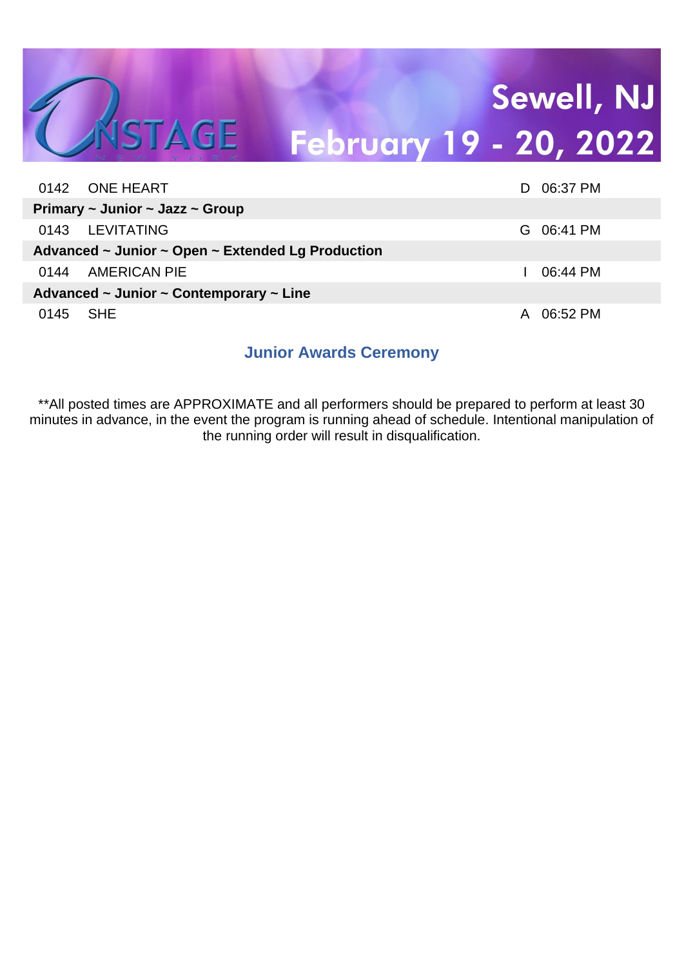#### Sewell, NJ CASTAGE February 19 - 20, 2022

|      | 0142 ONE HEART                                                   | Ð | 06:37 PM   |
|------|------------------------------------------------------------------|---|------------|
|      | Primary $\sim$ Junior $\sim$ Jazz $\sim$ Group                   |   |            |
|      | 0143 LEVITATING                                                  |   | G 06:41 PM |
|      | Advanced $\sim$ Junior $\sim$ Open $\sim$ Extended Lg Production |   |            |
| 0144 | AMERICAN PIE                                                     |   | 06:44 PM   |
|      | Advanced $\sim$ Junior $\sim$ Contemporary $\sim$ Line           |   |            |
| 0145 | SHE S                                                            | A | 06:52 PM   |

#### **Junior Awards Ceremony**

\*\*All posted times are APPROXIMATE and all performers should be prepared to perform at least 30 minutes in advance, in the event the program is running ahead of schedule. Intentional manipulation of the running order will result in disqualification.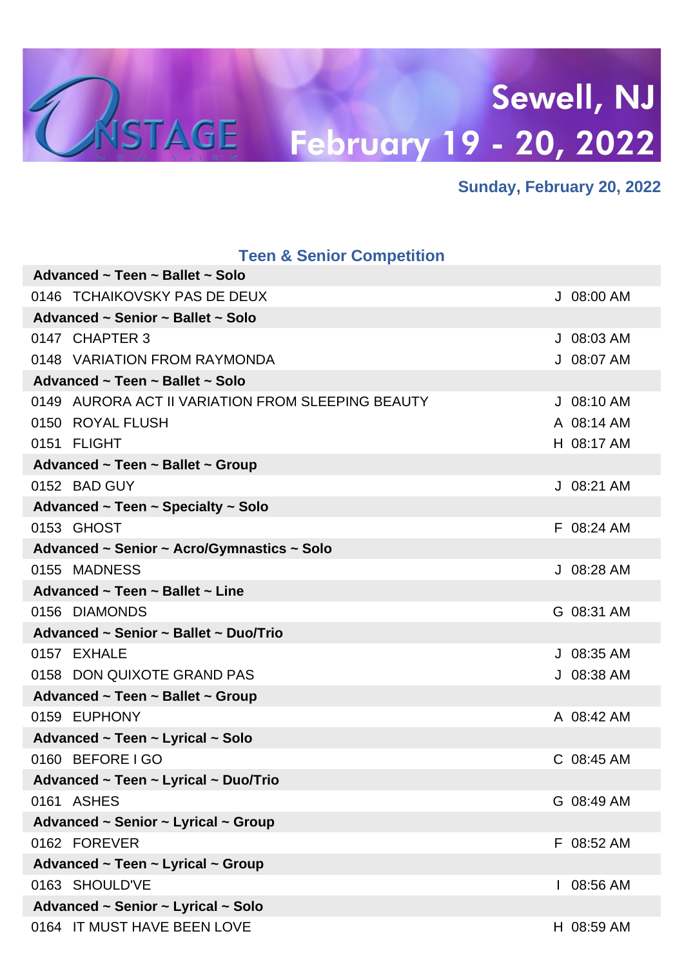

#### **Sunday, February 20, 2022**

| <b>Teen &amp; Senior Competition</b>              |              |
|---------------------------------------------------|--------------|
| Advanced ~ Teen ~ Ballet ~ Solo                   |              |
| 0146 TCHAIKOVSKY PAS DE DEUX                      | J 08:00 AM   |
| Advanced ~ Senior ~ Ballet ~ Solo                 |              |
| 0147 CHAPTER 3                                    | $J$ 08:03 AM |
| 0148 VARIATION FROM RAYMONDA                      | J 08:07 AM   |
| Advanced ~ Teen ~ Ballet ~ Solo                   |              |
| 0149 AURORA ACT II VARIATION FROM SLEEPING BEAUTY | $J$ 08:10 AM |
| 0150 ROYAL FLUSH                                  | A 08:14 AM   |
| 0151 FLIGHT                                       | H 08:17 AM   |
| Advanced ~ Teen ~ Ballet ~ Group                  |              |
| 0152 BAD GUY                                      | J 08:21 AM   |
| Advanced ~ Teen ~ Specialty ~ Solo                |              |
| 0153 GHOST                                        | F 08:24 AM   |
| Advanced ~ Senior ~ Acro/Gymnastics ~ Solo        |              |
| 0155 MADNESS                                      | J 08:28 AM   |
| Advanced $\sim$ Teen $\sim$ Ballet $\sim$ Line    |              |
| 0156 DIAMONDS                                     | G 08:31 AM   |
| Advanced ~ Senior ~ Ballet ~ Duo/Trio             |              |
| 0157 EXHALE                                       | J 08:35 AM   |
| 0158 DON QUIXOTE GRAND PAS                        | J 08:38 AM   |
| Advanced ~ Teen ~ Ballet ~ Group                  |              |
| 0159 EUPHONY                                      | A 08:42 AM   |
| Advanced ~ Teen ~ Lyrical ~ Solo                  |              |
| 0160 BEFORE I GO                                  | C 08:45 AM   |
| Advanced ~ Teen ~ Lyrical ~ Duo/Trio              |              |
| 0161 ASHES                                        | G 08:49 AM   |
| Advanced ~ Senior ~ Lyrical ~ Group               |              |
| 0162 FOREVER                                      | F 08:52 AM   |
| Advanced ~ Teen ~ Lyrical ~ Group                 |              |
| 0163 SHOULD'VE                                    | 08:56 AM     |
| Advanced ~ Senior ~ Lyrical ~ Solo                |              |
| 0164 IT MUST HAVE BEEN LOVE                       | H 08:59 AM   |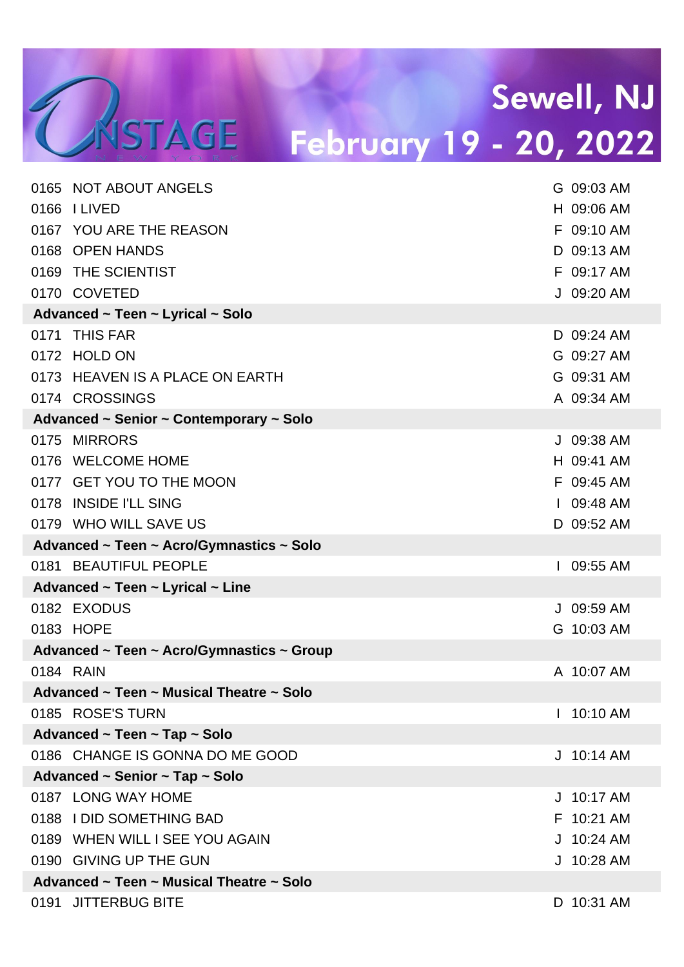| 0165 NOT ABOUT ANGELS                     |   | G 09:03 AM   |
|-------------------------------------------|---|--------------|
| 0166 I LIVED                              |   | H 09:06 AM   |
| 0167 YOU ARE THE REASON                   |   | F 09:10 AM   |
| 0168 OPEN HANDS                           |   | D 09:13 AM   |
| 0169 THE SCIENTIST                        |   | F 09:17 AM   |
| 0170 COVETED                              |   | J 09:20 AM   |
| Advanced ~ Teen ~ Lyrical ~ Solo          |   |              |
| 0171 THIS FAR                             |   | D 09:24 AM   |
| 0172 HOLD ON                              |   | G 09:27 AM   |
| 0173 HEAVEN IS A PLACE ON EARTH           |   | G 09:31 AM   |
| 0174 CROSSINGS                            |   | A 09:34 AM   |
| Advanced ~ Senior ~ Contemporary ~ Solo   |   |              |
| 0175 MIRRORS                              |   | J 09:38 AM   |
| 0176 WELCOME HOME                         |   | H 09:41 AM   |
| 0177 GET YOU TO THE MOON                  |   | F 09:45 AM   |
| 0178 INSIDE I'LL SING                     |   | $109:48$ AM  |
| 0179 WHO WILL SAVE US                     |   | D 09:52 AM   |
| Advanced ~ Teen ~ Acro/Gymnastics ~ Solo  |   |              |
| 0181 BEAUTIFUL PEOPLE                     |   | I 09:55 AM   |
| Advanced ~ Teen ~ Lyrical ~ Line          |   |              |
| 0182 EXODUS                               |   | J 09:59 AM   |
| 0183 HOPE                                 |   | G 10:03 AM   |
| Advanced ~ Teen ~ Acro/Gymnastics ~ Group |   |              |
| 0184 RAIN                                 |   | A 10:07 AM   |
| Advanced ~ Teen ~ Musical Theatre ~ Solo  |   |              |
| 0185 ROSE'S TURN                          |   | 10:10 AM     |
| Advanced ~ Teen ~ Tap ~ Solo              |   |              |
| 0186 CHANGE IS GONNA DO ME GOOD           |   | $J$ 10:14 AM |
| Advanced ~ Senior ~ Tap ~ Solo            |   |              |
| 0187 LONG WAY HOME                        | J | 10:17 AM     |
| 0188 I DID SOMETHING BAD                  |   | F 10:21 AM   |
| 0189 WHEN WILL I SEE YOU AGAIN            |   | $J$ 10:24 AM |
| 0190 GIVING UP THE GUN                    |   | J 10:28 AM   |
| Advanced ~ Teen ~ Musical Theatre ~ Solo  |   |              |
| 0191 JITTERBUG BITE                       |   | D 10:31 AM   |
|                                           |   |              |

TASTAGE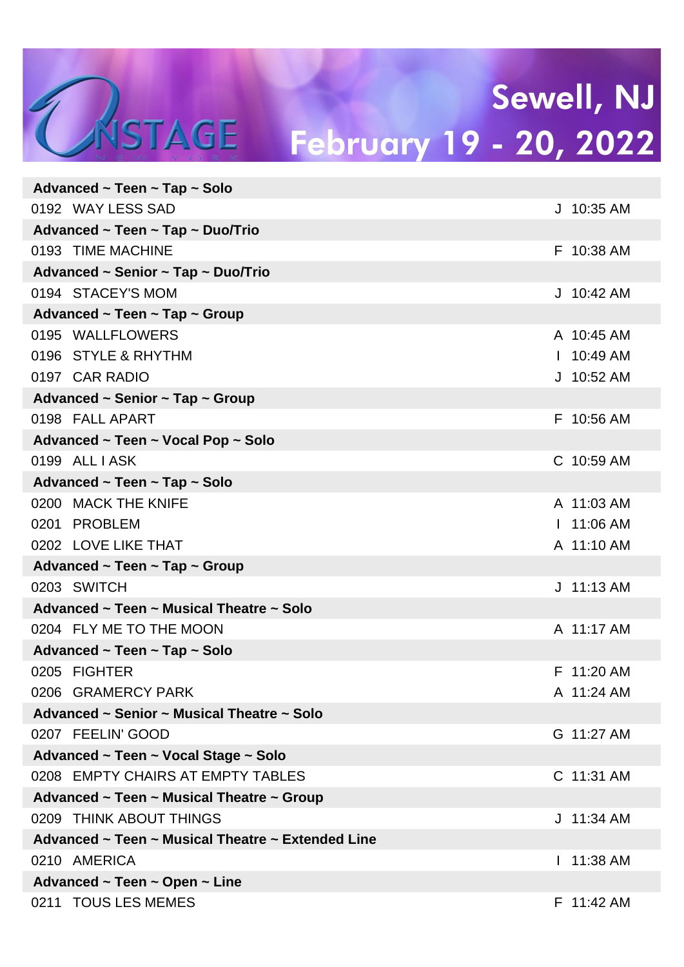## Sewell, NJ WSTAGE February 19 - 20, 2022

| Advanced ~ Teen ~ Tap ~ Solo                      |              |
|---------------------------------------------------|--------------|
| 0192 WAY LESS SAD                                 | J 10:35 AM   |
| Advanced ~ Teen ~ Tap ~ Duo/Trio                  |              |
| 0193 TIME MACHINE                                 | F 10:38 AM   |
| Advanced ~ Senior ~ Tap ~ Duo/Trio                |              |
| 0194 STACEY'S MOM                                 | $J$ 10:42 AM |
| Advanced ~ Teen ~ Tap ~ Group                     |              |
| 0195 WALLFLOWERS                                  | A 10:45 AM   |
| 0196 STYLE & RHYTHM                               | $1.10:49$ AM |
| 0197 CAR RADIO                                    | J 10:52 AM   |
| Advanced ~ Senior ~ Tap ~ Group                   |              |
| 0198 FALL APART                                   | F 10:56 AM   |
| Advanced ~ Teen ~ Vocal Pop ~ Solo                |              |
| 0199 ALL I ASK                                    | C 10:59 AM   |
| Advanced ~ Teen ~ Tap ~ Solo                      |              |
| 0200 MACK THE KNIFE                               | A 11:03 AM   |
| 0201 PROBLEM                                      | $11:06$ AM   |
| 0202 LOVE LIKE THAT                               | A 11:10 AM   |
| Advanced ~ Teen ~ Tap ~ Group                     |              |
| 0203 SWITCH                                       | $J$ 11:13 AM |
| Advanced ~ Teen ~ Musical Theatre ~ Solo          |              |
| 0204 FLY ME TO THE MOON                           | A 11:17 AM   |
| Advanced ~ Teen ~ Tap ~ Solo                      |              |
| 0205 FIGHTER                                      | F 11:20 AM   |
| 0206 GRAMERCY PARK                                | A 11:24 AM   |
| Advanced ~ Senior ~ Musical Theatre ~ Solo        |              |
| 0207 FEELIN' GOOD                                 | G 11:27 AM   |
| Advanced ~ Teen ~ Vocal Stage ~ Solo              |              |
| 0208 EMPTY CHAIRS AT EMPTY TABLES                 | C 11:31 AM   |
| Advanced ~ Teen ~ Musical Theatre ~ Group         |              |
| 0209 THINK ABOUT THINGS                           | J 11:34 AM   |
| Advanced ~ Teen ~ Musical Theatre ~ Extended Line |              |
| 0210 AMERICA                                      | 11:38 AM     |
| Advanced ~ Teen ~ Open ~ Line                     |              |
| 0211 TOUS LES MEMES                               | F 11:42 AM   |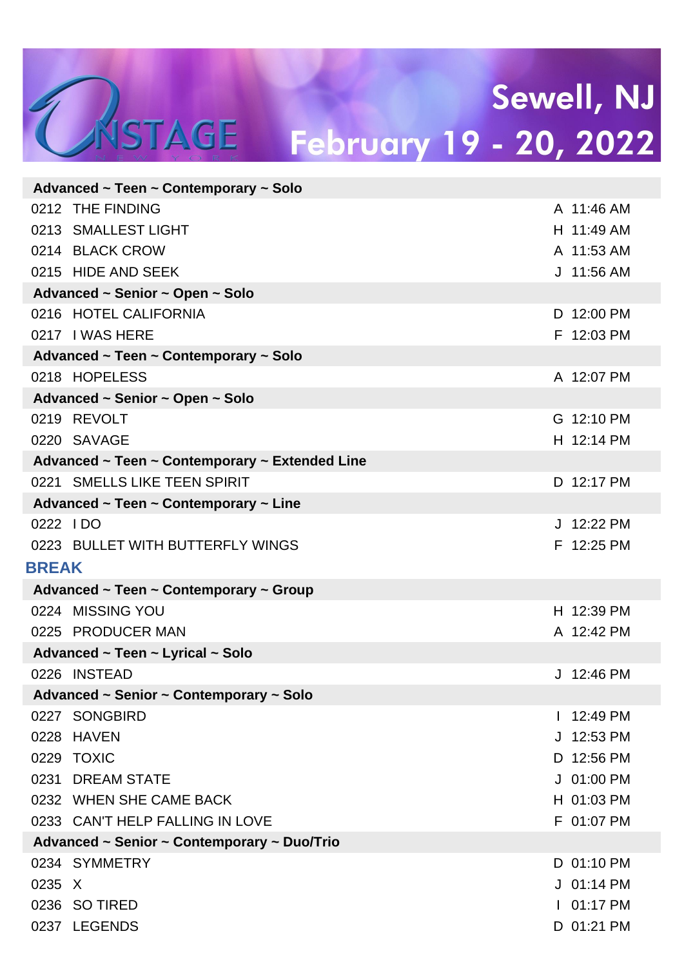|              | Advanced ~ Teen ~ Contemporary ~ Solo          |                           |  |
|--------------|------------------------------------------------|---------------------------|--|
|              | 0212 THE FINDING                               | A 11:46 AM                |  |
|              | 0213 SMALLEST LIGHT                            | H 11:49 AM                |  |
|              | 0214 BLACK CROW                                | A 11:53 AM                |  |
|              | 0215 HIDE AND SEEK                             | J 11:56 AM                |  |
|              | Advanced ~ Senior ~ Open ~ Solo                |                           |  |
|              | 0216 HOTEL CALIFORNIA                          | D 12:00 PM                |  |
|              | 0217 I WAS HERE                                | F 12:03 PM                |  |
|              | Advanced ~ Teen ~ Contemporary ~ Solo          |                           |  |
|              | 0218 HOPELESS                                  | A 12:07 PM                |  |
|              | Advanced ~ Senior ~ Open ~ Solo                |                           |  |
|              | 0219 REVOLT                                    | G 12:10 PM                |  |
|              | 0220 SAVAGE                                    | H 12:14 PM                |  |
|              | Advanced ~ Teen ~ Contemporary ~ Extended Line |                           |  |
|              | 0221 SMELLS LIKE TEEN SPIRIT                   | D 12:17 PM                |  |
|              | Advanced ~ Teen ~ Contemporary ~ Line          |                           |  |
| 0222 IDO     |                                                | J 12:22 PM                |  |
|              | 0223 BULLET WITH BUTTERFLY WINGS               | F 12:25 PM                |  |
| <b>BREAK</b> |                                                |                           |  |
|              | Advanced ~ Teen ~ Contemporary ~ Group         |                           |  |
|              | 0224 MISSING YOU                               | H 12:39 PM                |  |
|              | 0225 PRODUCER MAN                              | A 12:42 PM                |  |
|              | Advanced ~ Teen ~ Lyrical ~ Solo               |                           |  |
|              | 0226 INSTEAD                                   |                           |  |
|              |                                                | J 12:46 PM                |  |
|              | Advanced ~ Senior ~ Contemporary ~ Solo        |                           |  |
|              | 0227 SONGBIRD                                  | 12:49 PM<br>$\mathbf{I}$  |  |
|              | 0228 HAVEN                                     | J 12:53 PM                |  |
|              | 0229 TOXIC                                     | D 12:56 PM                |  |
|              | 0231 DREAM STATE                               | J 01:00 PM                |  |
|              | 0232 WHEN SHE CAME BACK                        | H 01:03 PM                |  |
|              | 0233 CAN'T HELP FALLING IN LOVE                | F 01:07 PM                |  |
|              | Advanced ~ Senior ~ Contemporary ~ Duo/Trio    |                           |  |
|              | 0234 SYMMETRY                                  | D 01:10 PM                |  |
| 0235 X       |                                                | J 01:14 PM                |  |
|              | 0236 SO TIRED<br>0237 LEGENDS                  | $101:17$ PM<br>D 01:21 PM |  |

TASTAGE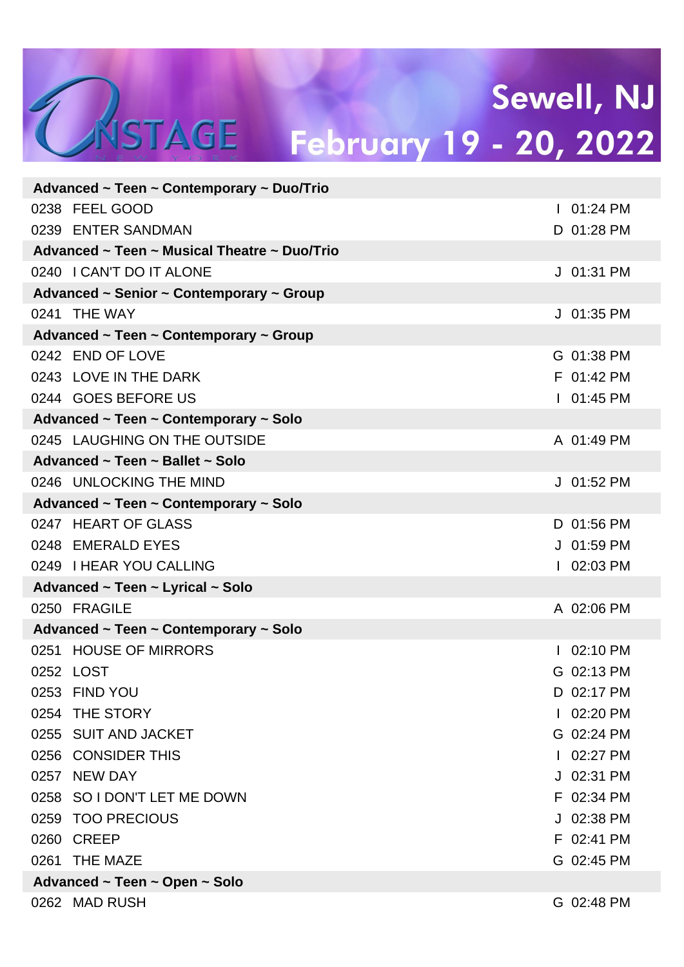# TASTAGE

### Sewell, NJ February 19 - 20, 2022

|                               | Advanced ~ Teen ~ Contemporary ~ Duo/Trio    |  |              |  |  |
|-------------------------------|----------------------------------------------|--|--------------|--|--|
|                               | 0238 FEEL GOOD                               |  | $101:24$ PM  |  |  |
|                               | 0239 ENTER SANDMAN                           |  | D 01:28 PM   |  |  |
|                               | Advanced ~ Teen ~ Musical Theatre ~ Duo/Trio |  |              |  |  |
|                               | 0240   CAN'T DO IT ALONE                     |  | J 01:31 PM   |  |  |
|                               | Advanced ~ Senior ~ Contemporary ~ Group     |  |              |  |  |
|                               | 0241 THE WAY                                 |  | J 01:35 PM   |  |  |
|                               | Advanced ~ Teen ~ Contemporary ~ Group       |  |              |  |  |
|                               | 0242 END OF LOVE                             |  | G 01:38 PM   |  |  |
|                               | 0243 LOVE IN THE DARK                        |  | F 01:42 PM   |  |  |
|                               | 0244 GOES BEFORE US                          |  | $101:45$ PM  |  |  |
|                               | Advanced ~ Teen ~ Contemporary ~ Solo        |  |              |  |  |
|                               | 0245 LAUGHING ON THE OUTSIDE                 |  | A 01:49 PM   |  |  |
|                               | Advanced ~ Teen ~ Ballet ~ Solo              |  |              |  |  |
|                               | 0246 UNLOCKING THE MIND                      |  | $J$ 01:52 PM |  |  |
|                               | Advanced ~ Teen ~ Contemporary ~ Solo        |  |              |  |  |
|                               | 0247 HEART OF GLASS                          |  | D 01:56 PM   |  |  |
|                               | 0248 EMERALD EYES                            |  | J 01:59 PM   |  |  |
|                               | 0249 I HEAR YOU CALLING                      |  | $102:03$ PM  |  |  |
|                               | Advanced ~ Teen ~ Lyrical ~ Solo             |  |              |  |  |
|                               | 0250 FRAGILE                                 |  | A 02:06 PM   |  |  |
|                               | Advanced ~ Teen ~ Contemporary ~ Solo        |  |              |  |  |
|                               | 0251 HOUSE OF MIRRORS                        |  | 02:10 PM     |  |  |
|                               | 0252 LOST                                    |  | G 02:13 PM   |  |  |
|                               | 0253 FIND YOU                                |  | D 02:17 PM   |  |  |
|                               | 0254 THE STORY                               |  | 02:20 PM     |  |  |
|                               | 0255 SUIT AND JACKET                         |  | G 02:24 PM   |  |  |
|                               | 0256 CONSIDER THIS                           |  | 02:27 PM     |  |  |
|                               | 0257 NEW DAY                                 |  | J 02:31 PM   |  |  |
|                               | 0258 SO I DON'T LET ME DOWN                  |  | F 02:34 PM   |  |  |
|                               | 0259 TOO PRECIOUS                            |  | J 02:38 PM   |  |  |
|                               | 0260 CREEP                                   |  | F 02:41 PM   |  |  |
|                               | 0261 THE MAZE                                |  | G 02:45 PM   |  |  |
| Advanced ~ Teen ~ Open ~ Solo |                                              |  |              |  |  |
|                               | 0262 MAD RUSH                                |  | G 02:48 PM   |  |  |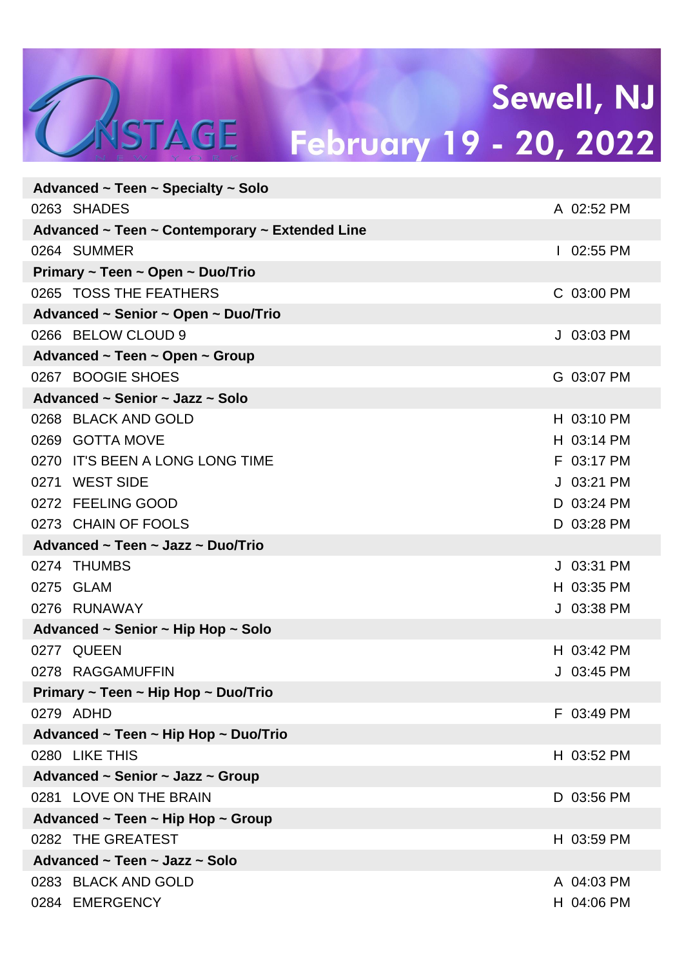| Advanced $\sim$ Teen $\sim$ Specialty $\sim$ Solo |                                                |  |             |  |  |  |  |
|---------------------------------------------------|------------------------------------------------|--|-------------|--|--|--|--|
|                                                   | 0263 SHADES                                    |  | A 02:52 PM  |  |  |  |  |
|                                                   | Advanced ~ Teen ~ Contemporary ~ Extended Line |  |             |  |  |  |  |
|                                                   | 0264 SUMMER                                    |  | $102:55$ PM |  |  |  |  |
|                                                   | Primary ~ Teen ~ Open ~ Duo/Trio               |  |             |  |  |  |  |
|                                                   | 0265 TOSS THE FEATHERS                         |  | C 03:00 PM  |  |  |  |  |
|                                                   | Advanced ~ Senior ~ Open ~ Duo/Trio            |  |             |  |  |  |  |
|                                                   | 0266 BELOW CLOUD 9                             |  | J 03:03 PM  |  |  |  |  |
| Advanced $\sim$ Teen $\sim$ Open $\sim$ Group     |                                                |  |             |  |  |  |  |
|                                                   | 0267 BOOGIE SHOES                              |  | G 03:07 PM  |  |  |  |  |
|                                                   | Advanced ~ Senior ~ Jazz ~ Solo                |  |             |  |  |  |  |
|                                                   | 0268 BLACK AND GOLD                            |  | H 03:10 PM  |  |  |  |  |
|                                                   | 0269 GOTTA MOVE                                |  | H 03:14 PM  |  |  |  |  |
|                                                   | 0270 IT'S BEEN A LONG LONG TIME                |  | F 03:17 PM  |  |  |  |  |
|                                                   | 0271 WEST SIDE                                 |  | J 03:21 PM  |  |  |  |  |
|                                                   | 0272 FEELING GOOD                              |  | D 03:24 PM  |  |  |  |  |
|                                                   | 0273 CHAIN OF FOOLS                            |  | D 03:28 PM  |  |  |  |  |
|                                                   | Advanced ~ Teen ~ Jazz ~ Duo/Trio              |  |             |  |  |  |  |
|                                                   | 0274 THUMBS                                    |  | J 03:31 PM  |  |  |  |  |
|                                                   | 0275 GLAM                                      |  | H 03:35 PM  |  |  |  |  |
|                                                   | 0276 RUNAWAY                                   |  | J 03:38 PM  |  |  |  |  |
|                                                   | Advanced ~ Senior ~ Hip Hop ~ Solo             |  |             |  |  |  |  |
|                                                   | 0277 QUEEN                                     |  | H 03:42 PM  |  |  |  |  |
|                                                   | 0278 RAGGAMUFFIN                               |  | J 03:45 PM  |  |  |  |  |
| Primary ~ Teen ~ Hip Hop ~ Duo/Trio               |                                                |  |             |  |  |  |  |
|                                                   | 0279 ADHD                                      |  | F 03:49 PM  |  |  |  |  |
|                                                   | Advanced ~ Teen ~ Hip Hop ~ Duo/Trio           |  |             |  |  |  |  |
|                                                   | 0280 LIKE THIS                                 |  | H 03:52 PM  |  |  |  |  |
| Advanced ~ Senior ~ Jazz ~ Group                  |                                                |  |             |  |  |  |  |
|                                                   | 0281 LOVE ON THE BRAIN                         |  | D 03:56 PM  |  |  |  |  |
| Advanced ~ Teen ~ Hip Hop ~ Group                 |                                                |  |             |  |  |  |  |
|                                                   | 0282 THE GREATEST                              |  | H 03:59 PM  |  |  |  |  |
| Advanced ~ Teen ~ Jazz ~ Solo                     |                                                |  |             |  |  |  |  |
|                                                   | 0283 BLACK AND GOLD                            |  | A 04:03 PM  |  |  |  |  |
|                                                   | 0284 EMERGENCY                                 |  | H 04:06 PM  |  |  |  |  |
|                                                   |                                                |  |             |  |  |  |  |

NSTAGE